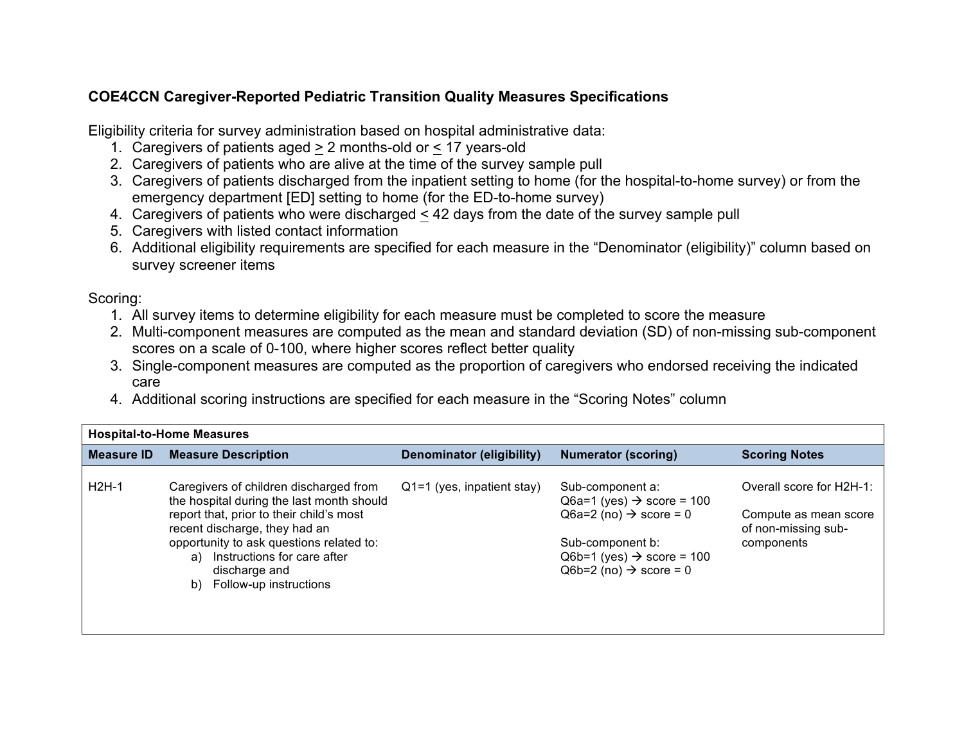## **COE4CCN Caregiver-Reported Pediatric Transition Quality Measures Specifications**

Eligibility criteria for survey administration based on hospital administrative data:

- 1. Caregivers of patients aged > 2 months-old or < 17 years-old
- 2. Caregivers of patients who are alive at the time of the survey sample pull
- 3. Caregivers of patients discharged from the inpatient setting to home (for the hospital-to-home survey) or from the emergency department [ED] setting to home (for the ED-to-home survey)
- 4. Caregivers of patients who were discharged < 42 days from the date of the survey sample pull
- 5. Caregivers with listed contact information
- 6. Additional eligibility requirements are specified for each measure in the "Denominator (eligibility)" column based on survey screener items

## Scoring:

- 1. All survey items to determine eligibility for each measure must be completed to score the measure
- 2. Multi-component measures are computed as the mean and standard deviation (SD) of non-missing sub-component scores on a scale of 0-100, where higher scores reflect better quality
- 3. Single-component measures are computed as the proportion of caregivers who endorsed receiving the indicated care
- 4. Additional scoring instructions are specified for each measure in the "Scoring Notes" column

| <b>Measure ID</b> | <b>Measure Description</b>                                                          | <b>Denominator (eligibility)</b> | <b>Numerator (scoring)</b>                                  | <b>Scoring Notes</b>                         |
|-------------------|-------------------------------------------------------------------------------------|----------------------------------|-------------------------------------------------------------|----------------------------------------------|
| $H2H-1$           | Caregivers of children discharged from<br>the hospital during the last month should | $Q1=1$ (yes, inpatient stay)     | Sub-component a:<br>Q6a=1 (yes) $\rightarrow$ score = 100   | Overall score for H2H-1:                     |
|                   | report that, prior to their child's most<br>recent discharge, they had an           |                                  | $Q6a=2$ (no) $\rightarrow$ score = 0                        | Compute as mean score<br>of non-missing sub- |
|                   | opportunity to ask questions related to:<br>Instructions for care after<br>a)       |                                  | Sub-component b:<br>$Q6b=1$ (yes) $\rightarrow$ score = 100 | components                                   |
|                   | discharge and<br>b) Follow-up instructions                                          |                                  | $Q6b=2$ (no) $\rightarrow$ score = 0                        |                                              |
|                   |                                                                                     |                                  |                                                             |                                              |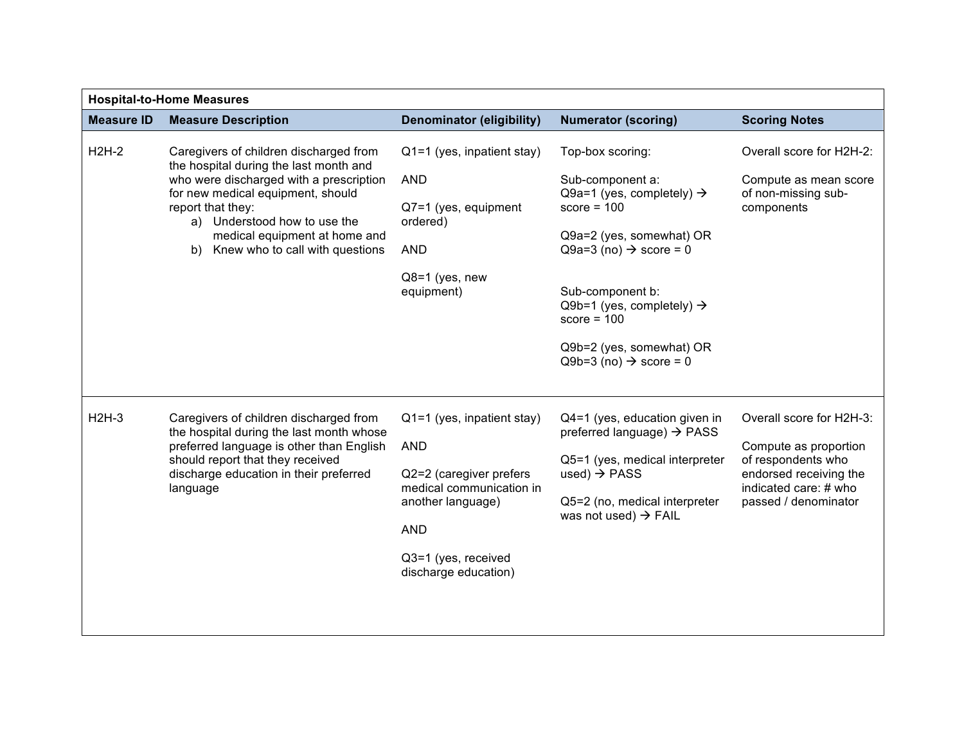| <b>Hospital-to-Home Measures</b> |                                                                                                                                                                                                                                                                                              |                                                                                                                                                                                     |                                                                                                                                                                                                                                                                                                                    |                                                                                                                                                    |  |
|----------------------------------|----------------------------------------------------------------------------------------------------------------------------------------------------------------------------------------------------------------------------------------------------------------------------------------------|-------------------------------------------------------------------------------------------------------------------------------------------------------------------------------------|--------------------------------------------------------------------------------------------------------------------------------------------------------------------------------------------------------------------------------------------------------------------------------------------------------------------|----------------------------------------------------------------------------------------------------------------------------------------------------|--|
| <b>Measure ID</b>                | <b>Measure Description</b>                                                                                                                                                                                                                                                                   | <b>Denominator (eligibility)</b>                                                                                                                                                    | <b>Numerator (scoring)</b>                                                                                                                                                                                                                                                                                         | <b>Scoring Notes</b>                                                                                                                               |  |
| $H2H-2$                          | Caregivers of children discharged from<br>the hospital during the last month and<br>who were discharged with a prescription<br>for new medical equipment, should<br>report that they:<br>a) Understood how to use the<br>medical equipment at home and<br>b) Knew who to call with questions | Q1=1 (yes, inpatient stay)<br><b>AND</b><br>Q7=1 (yes, equipment<br>ordered)<br><b>AND</b><br>$Q8=1$ (yes, new<br>equipment)                                                        | Top-box scoring:<br>Sub-component a:<br>Q9a=1 (yes, completely) $\rightarrow$<br>score = $100$<br>Q9a=2 (yes, somewhat) OR<br>Q9a=3 (no) $\rightarrow$ score = 0<br>Sub-component b:<br>Q9b=1 (yes, completely) $\rightarrow$<br>score = $100$<br>Q9b=2 (yes, somewhat) OR<br>$Q9b=3$ (no) $\rightarrow$ score = 0 | Overall score for H2H-2:<br>Compute as mean score<br>of non-missing sub-<br>components                                                             |  |
| $H2H-3$                          | Caregivers of children discharged from<br>the hospital during the last month whose<br>preferred language is other than English<br>should report that they received<br>discharge education in their preferred<br>language                                                                     | $Q1=1$ (yes, inpatient stay)<br><b>AND</b><br>Q2=2 (caregiver prefers<br>medical communication in<br>another language)<br><b>AND</b><br>Q3=1 (yes, received<br>discharge education) | Q4=1 (yes, education given in<br>preferred language) $\rightarrow$ PASS<br>Q5=1 (yes, medical interpreter<br>used) $\rightarrow$ PASS<br>Q5=2 (no, medical interpreter<br>was not used) $\rightarrow$ FAIL                                                                                                         | Overall score for H2H-3:<br>Compute as proportion<br>of respondents who<br>endorsed receiving the<br>indicated care: # who<br>passed / denominator |  |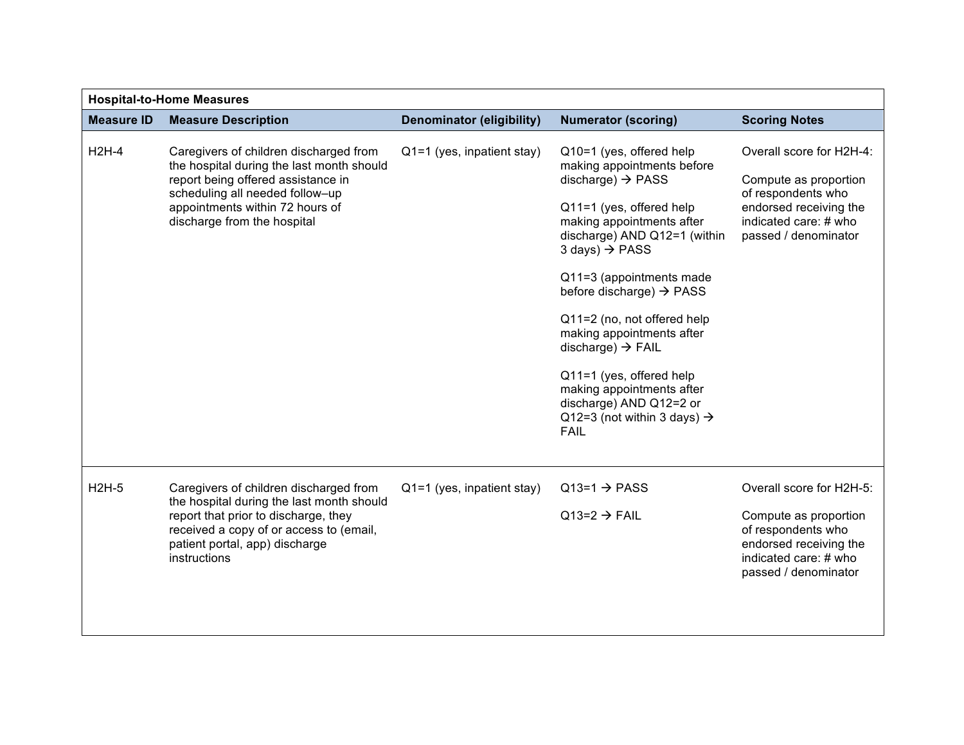| <b>Hospital-to-Home Measures</b> |                                                                                                                                                                                                                                |                                  |                                                                                                                                                                                                                                                                                                                                                                                                                                                                                                                               |                                                                                                                                                    |
|----------------------------------|--------------------------------------------------------------------------------------------------------------------------------------------------------------------------------------------------------------------------------|----------------------------------|-------------------------------------------------------------------------------------------------------------------------------------------------------------------------------------------------------------------------------------------------------------------------------------------------------------------------------------------------------------------------------------------------------------------------------------------------------------------------------------------------------------------------------|----------------------------------------------------------------------------------------------------------------------------------------------------|
| <b>Measure ID</b>                | <b>Measure Description</b>                                                                                                                                                                                                     | <b>Denominator (eligibility)</b> | <b>Numerator (scoring)</b>                                                                                                                                                                                                                                                                                                                                                                                                                                                                                                    | <b>Scoring Notes</b>                                                                                                                               |
| $H2H-4$                          | Caregivers of children discharged from<br>the hospital during the last month should<br>report being offered assistance in<br>scheduling all needed follow-up<br>appointments within 72 hours of<br>discharge from the hospital | Q1=1 (yes, inpatient stay)       | Q10=1 (yes, offered help<br>making appointments before<br>discharge) $\rightarrow$ PASS<br>Q11=1 (yes, offered help<br>making appointments after<br>discharge) AND Q12=1 (within<br>3 days) $\rightarrow$ PASS<br>Q11=3 (appointments made<br>before discharge) $\rightarrow$ PASS<br>Q11=2 (no, not offered help<br>making appointments after<br>discharge) $\rightarrow$ FAIL<br>Q11=1 (yes, offered help<br>making appointments after<br>discharge) AND Q12=2 or<br>Q12=3 (not within 3 days) $\rightarrow$<br><b>FAIL</b> | Overall score for H2H-4:<br>Compute as proportion<br>of respondents who<br>endorsed receiving the<br>indicated care: # who<br>passed / denominator |
| $H2H-5$                          | Caregivers of children discharged from<br>the hospital during the last month should<br>report that prior to discharge, they<br>received a copy of or access to (email,<br>patient portal, app) discharge<br>instructions       | $Q1=1$ (yes, inpatient stay)     | $Q13=1 \rightarrow PASS$<br>$Q13=2 \rightarrow FAIL$                                                                                                                                                                                                                                                                                                                                                                                                                                                                          | Overall score for H2H-5:<br>Compute as proportion<br>of respondents who<br>endorsed receiving the<br>indicated care: # who<br>passed / denominator |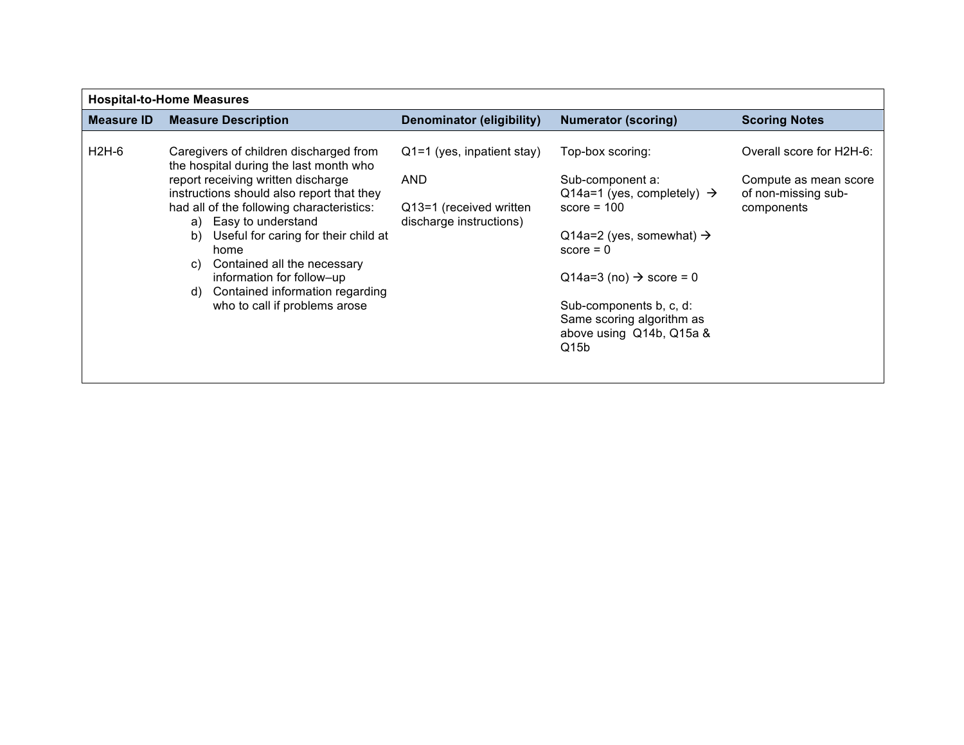| <b>Hospital-to-Home Measures</b> |                                                                                  |                                                    |                                                            |                                              |
|----------------------------------|----------------------------------------------------------------------------------|----------------------------------------------------|------------------------------------------------------------|----------------------------------------------|
| Measure ID                       | <b>Measure Description</b>                                                       | Denominator (eligibility)                          | <b>Numerator (scoring)</b>                                 | <b>Scoring Notes</b>                         |
| H2H-6                            | Caregivers of children discharged from<br>the hospital during the last month who | $Q1=1$ (yes, inpatient stay)                       | Top-box scoring:                                           | Overall score for H2H-6:                     |
|                                  | report receiving written discharge<br>instructions should also report that they  | <b>AND</b>                                         | Sub-component a:<br>Q14a=1 (yes, completely) $\rightarrow$ | Compute as mean score<br>of non-missing sub- |
|                                  | had all of the following characteristics:<br>a) Easy to understand               | Q13=1 (received written<br>discharge instructions) | score = $100$                                              | components                                   |
|                                  | Useful for caring for their child at<br>b)<br>home                               |                                                    | Q14a=2 (yes, somewhat) $\rightarrow$<br>$score = 0$        |                                              |
|                                  | Contained all the necessary<br>C)<br>information for follow-up                   |                                                    | $Q14a=3$ (no) $\rightarrow$ score = 0                      |                                              |
|                                  | Contained information regarding<br>d)<br>who to call if problems arose           |                                                    | Sub-components b, c, d:<br>Same scoring algorithm as       |                                              |
|                                  |                                                                                  |                                                    | above using Q14b, Q15a &<br>Q15b                           |                                              |
|                                  |                                                                                  |                                                    |                                                            |                                              |